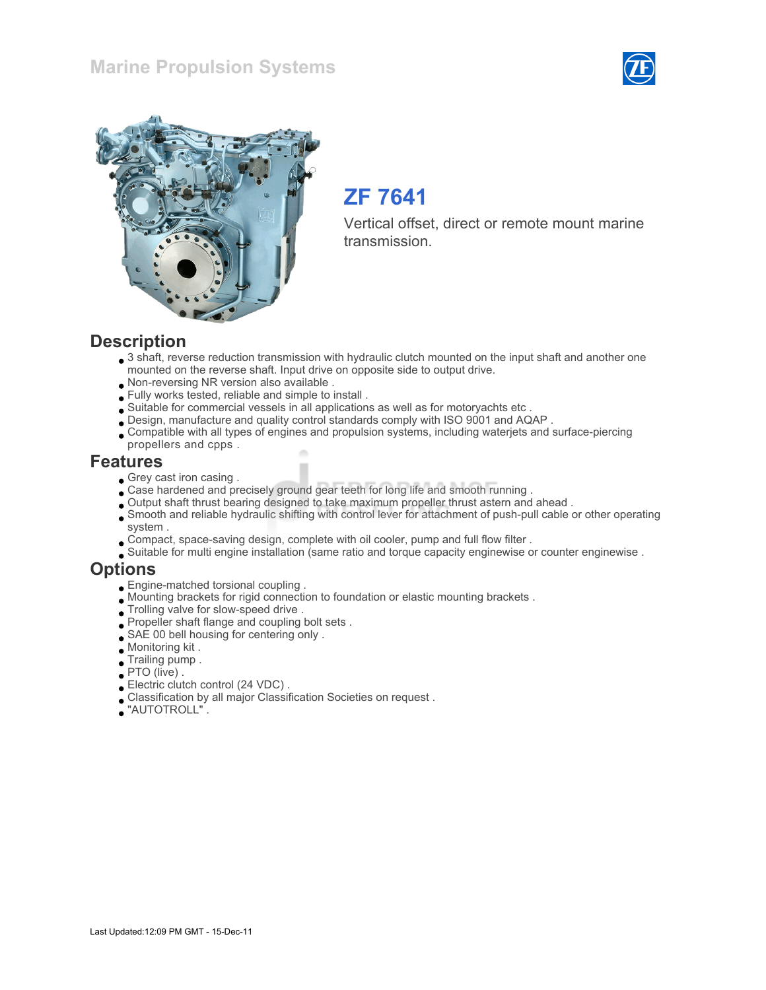### Marine Propulsion Systems





## ZF 7641

Vertical offset, direct or remote mount marine transmission.

#### **Description**

- 3 shaft, reverse reduction transmission with hydraulic clutch mounted on the input shaft and another one mounted on the reverse shaft. Input drive on opposite side to output drive.
- Non-reversing NR version also available .
- Fully works tested, reliable and simple to install .
- Suitable for commercial vessels in all applications as well as for motoryachts etc .
- Design, manufacture and quality control standards comply with ISO 9001 and AQAP .
- Compatible with all types of engines and propulsion systems, including waterjets and surface-piercing propellers and cpps .

#### Features

- Grey cast iron casing.
- Case hardened and precisely ground gear teeth for long life and smooth running .
- Output shaft thrust bearing designed to take maximum propeller thrust astern and ahead .
- Smooth and reliable hydraulic shifting with control lever for attachment of push-pull cable or other operating system .
- Compact, space-saving design, complete with oil cooler, pump and full flow filter .
- Suitable for multi engine installation (same ratio and torque capacity enginewise or counter enginewise .

#### **Options**

- Engine-matched torsional coupling .
- Mounting brackets for rigid connection to foundation or elastic mounting brackets .
- $\bullet$  Trolling valve for slow-speed drive .
- Propeller shaft flange and coupling bolt sets .
- SAE 00 bell housing for centering only .
- Monitoring kit .
- Trailing pump .
- PTO (live) .
- Electric clutch control (24 VDC) .
- Classification by all major Classification Societies on request .
- "AUTOTROLL" .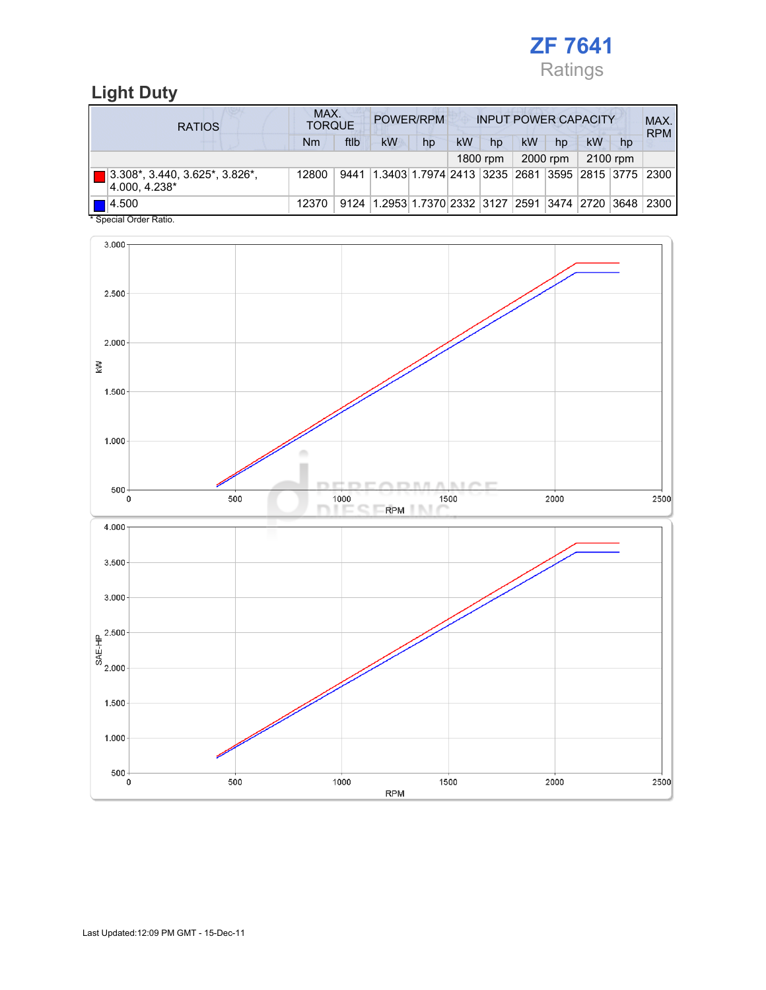

### Light Duty

| <b>RATIOS</b>                                                  | MAX.<br>POWER/RPM<br><b>INPUT POWER CAPACITY</b><br><b>TORQUE</b> |      |                                                        |    |    |          |    |          |    |          | MAX.<br><b>RPM</b> |
|----------------------------------------------------------------|-------------------------------------------------------------------|------|--------------------------------------------------------|----|----|----------|----|----------|----|----------|--------------------|
|                                                                | N <sub>m</sub>                                                    | ftlb | kW                                                     | hp | kW | hp       | kW | hp       | kW | hp       |                    |
|                                                                |                                                                   |      |                                                        |    |    | 1800 rpm |    | 2000 rpm |    | 2100 rpm |                    |
| $\boxed{ }$ 3.308*, 3.440, 3.625*, 3.826*,<br>$ 4.000, 4.238*$ | 12800                                                             | 9441 | 1.3403 1.7974 2413  3235  2681  3595  2815  3775  2300 |    |    |          |    |          |    |          |                    |
| $  $ $  $ $ $ $ $ $4.500$<br>$\cdots$                          | 12370                                                             | 9124 | 1.2953 1.7370 2332  3127  2591  3474  2720  3648       |    |    |          |    |          |    |          | 2300               |

Special Order Ratio.

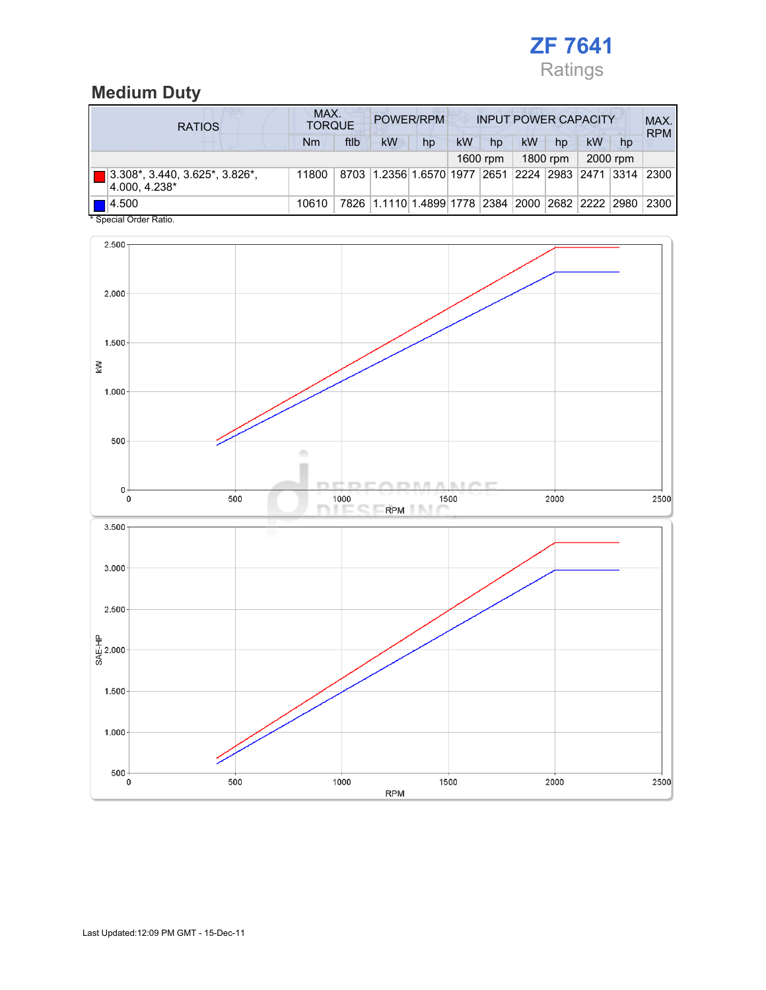

### Medium Duty

| <b>RATIOS</b>                                           | MAX.<br>POWER/RPM<br><b>INPUT POWER CAPACITY</b><br><b>TORQUE</b> |      |                                                  |    |    |          |    |          |           |          | MAX.<br><b>RPM</b> |
|---------------------------------------------------------|-------------------------------------------------------------------|------|--------------------------------------------------|----|----|----------|----|----------|-----------|----------|--------------------|
|                                                         | Nm                                                                | ftlb | <b>kW</b>                                        | hp | kW | hp       | kW | hp       | <b>kW</b> | hp       |                    |
|                                                         |                                                                   |      |                                                  |    |    | 1600 rpm |    | 1800 rpm |           | 2000 rpm |                    |
| 3.308*, 3.440, 3.625*, 3.826*,<br>4.000.4.238*          | 11800                                                             |      | 8703 1.2356 1.6570 1977 2651 2224 2983 2471 3314 |    |    |          |    |          |           |          | 2300               |
| $\blacksquare$ 4.500<br>$*$ On a simil Onder Definition | 10610                                                             |      | 7826 1.1110 1.4899 1778 2384 2000 2682 2222 2980 |    |    |          |    |          |           |          | 2300               |

Special Order Ratio.

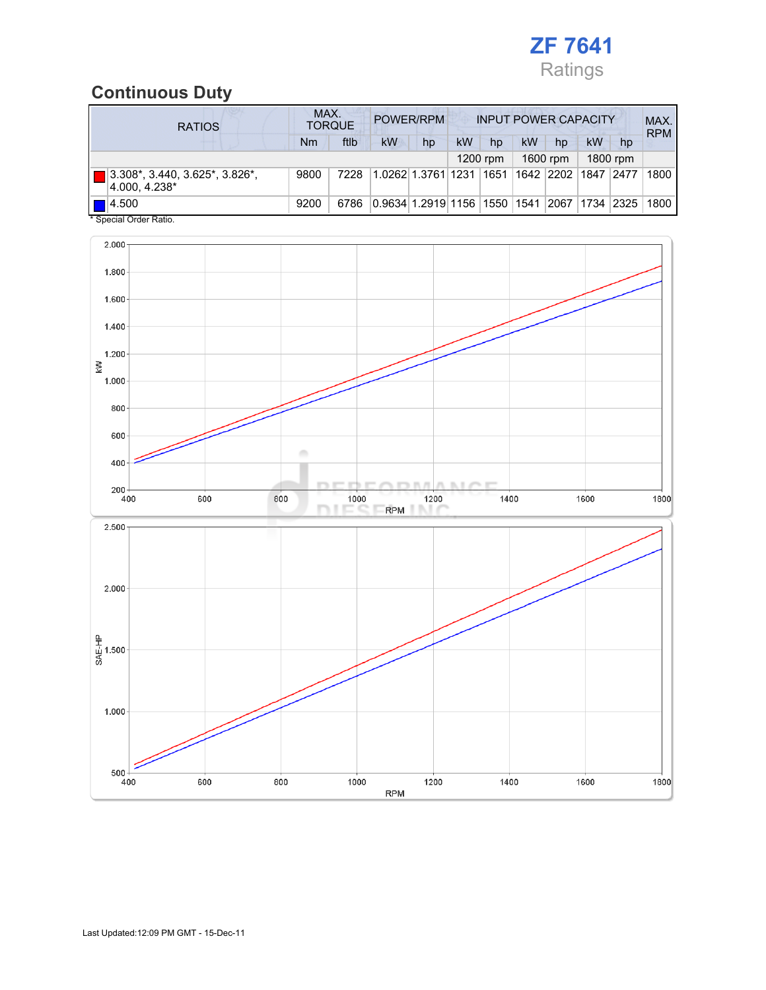

### Continuous Duty

| <b>RATIOS</b>                                                                | MAX.<br>POWER/RPM<br><b>INPUT POWER CAPACITY</b><br><b>TORQUE</b> |      |    |                              |    |          |    |            |            | MAX.<br><b>RPM</b> |      |
|------------------------------------------------------------------------------|-------------------------------------------------------------------|------|----|------------------------------|----|----------|----|------------|------------|--------------------|------|
|                                                                              | Nm                                                                | ftlb | kW | hp                           | kW | hp       | kW | hp         | kW         | hp                 |      |
|                                                                              |                                                                   |      |    |                              |    | 1200 rpm |    | 1600 rpm   |            | 1800 rpm           |      |
| $3.308^*$ , 3.440, 3.625 <sup>*</sup> , 3.826 <sup>*</sup> ,<br>4.000.4.238* | 9800                                                              | 7228 |    | 1.0262 1.3761 1231           |    | 1651     |    | 1642  2202 | 1847       | 2477               | 1800 |
| 14.500<br>* Checial Order Patio                                              | 9200                                                              | 6786 |    | 0.9634 1.2919 1156 1550 1541 |    |          |    | 2067       | 1734  2325 |                    | 1800 |

Special Order Ration

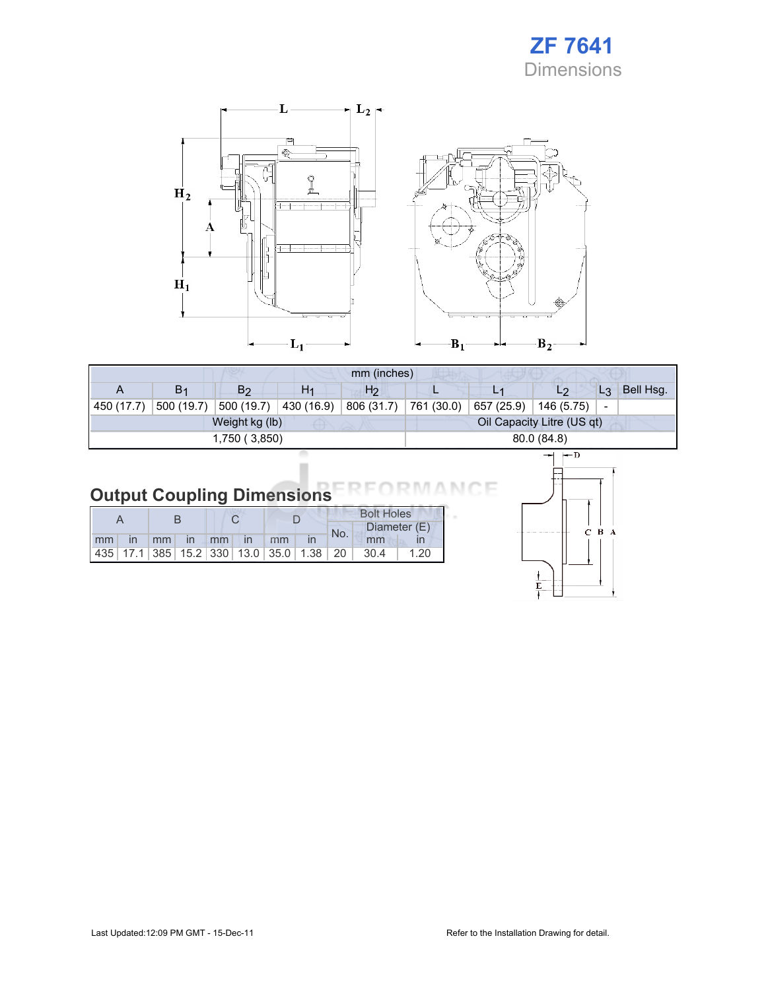



|            | mm (inches)    |                |                |                |                            |            |                |       |           |
|------------|----------------|----------------|----------------|----------------|----------------------------|------------|----------------|-------|-----------|
| A          | B <sub>1</sub> | B <sub>2</sub> | H <sub>1</sub> | H <sub>2</sub> | <u>.</u>                   |            | L <sub>2</sub> | $L_3$ | Bell Hsg. |
| 450 (17.7) | 500 (19.7)     | 500 (19.7)     | 430 (16.9)     | 806 (31.7)     | 761 (30.0)                 | 657 (25.9) | 146 (5.75)     |       |           |
|            |                | Weight kg (lb) |                |                | Oil Capacity Litre (US qt) |            |                |       |           |
|            |                | 1,750 (3,850)  | 80.0 (84.8)    |                |                            |            |                |       |           |
|            |                |                |                |                |                            |            |                |       |           |

# **Output Coupling Dimensions**

|  |  |  |                      | <b>Bolt Holes</b> |     |                                                                |      |
|--|--|--|----------------------|-------------------|-----|----------------------------------------------------------------|------|
|  |  |  |                      |                   | No. | Diameter (E)                                                   |      |
|  |  |  | mm in mm in mm in mm |                   |     | mm                                                             |      |
|  |  |  |                      |                   |     | 435   17.1   385   15.2   330   13.0   35.0   1.38   20   30.4 | 1.20 |